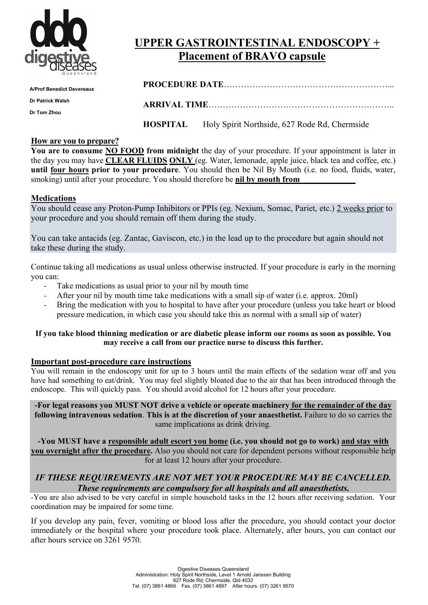

# **UPPER GASTROINTESTINAL ENDOSCOPY + Placement of BRAVO capsule**

| <b>A/Prof Benedict Devereaux</b> |  |                                                               |  |  |  |
|----------------------------------|--|---------------------------------------------------------------|--|--|--|
| Dr Patrick Walsh                 |  |                                                               |  |  |  |
| Dr Tom Zhou                      |  |                                                               |  |  |  |
|                                  |  | <b>HOSPITAL</b> Holy Spirit Northside, 627 Rode Rd, Chermside |  |  |  |

#### **How are you to prepare?**

**You are to consume NO FOOD from midnight** the day of your procedure. If your appointment is later in the day you may have **CLEAR FLUIDS ONLY** (eg. Water, lemonade, apple juice, black tea and coffee, etc.) **until four hours prior to your procedure**. You should then be Nil By Mouth (i.e. no food, fluids, water, smoking) until after your procedure. You should therefore be **nil by mouth from \_\_\_\_\_\_\_\_\_\_\_\_\_**

#### **Medications**

You should cease any Proton-Pump Inhibitors or PPIs (eg. Nexium, Somac, Pariet, etc.) 2 weeks prior to your procedure and you should remain off them during the study.

You can take antacids (eg. Zantac, Gaviscon, etc.) in the lead up to the procedure but again should not take these during the study.

Continue taking all medications as usual unless otherwise instructed. If your procedure is early in the morning you can:

- Take medications as usual prior to your nil by mouth time
- After your nil by mouth time take medications with a small sip of water (i.e. approx. 20ml)
- Bring the medication with you to hospital to have after your procedure (unless you take heart or blood pressure medication, in which case you should take this as normal with a small sip of water)

#### **If you take blood thinning medication or are diabetic please inform our rooms as soon as possible. You may receive a call from our practice nurse to discuss this further.**

#### **Important post-procedure care instructions**

You will remain in the endoscopy unit for up to 3 hours until the main effects of the sedation wear off and you have had something to eat/drink. You may feel slightly bloated due to the air that has been introduced through the endoscope. This will quickly pass. You should avoid alcohol for 12 hours after your procedure.

**-For legal reasons you MUST NOT drive a vehicle or operate machinery for the remainder of the day following intravenous sedation**. **This is at the discretion of your anaesthetist.** Failure to do so carries the same implications as drink driving.

**-You MUST have a responsible adult escort you home (i.e. you should not go to work) and stay with you overnight after the procedure.** Also you should not care for dependent persons without responsible help for at least 12 hours after your procedure.

### *IF THESE REQUIREMENTS ARE NOT MET YOUR PROCEDURE MAY BE CANCELLED. These requirements are compulsory for all hospitals and all anaesthetists.*

-You are also advised to be very careful in simple household tasks in the 12 hours after receiving sedation. Your coordination may be impaired for some time.

If you develop any pain, fever, vomiting or blood loss after the procedure, you should contact your doctor immediately or the hospital where your procedure took place. Alternately, after hours, you can contact our after hours service on 3261 9570.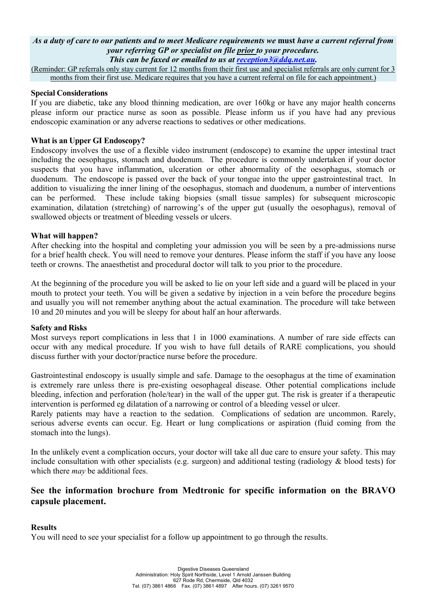## *As a duty of care to our patients and to meet Medicare requirements we* **must** *have a current referral from your referring GP or specialist on file prior to your procedure.*

*This can be faxed or emailed to us at reception3@ddq.net.au.*

(Reminder: GP referrals only stay current for 12 months from their first use and specialist referrals are only current for 3 months from their first use. Medicare requires that you have a current referral on file for each appointment.)

#### **Special Considerations**

If you are diabetic, take any blood thinning medication, are over 160kg or have any major health concerns please inform our practice nurse as soon as possible. Please inform us if you have had any previous endoscopic examination or any adverse reactions to sedatives or other medications.

#### **What is an Upper GI Endoscopy?**

Endoscopy involves the use of a flexible video instrument (endoscope) to examine the upper intestinal tract including the oesophagus, stomach and duodenum. The procedure is commonly undertaken if your doctor suspects that you have inflammation, ulceration or other abnormality of the oesophagus, stomach or duodenum. The endoscope is passed over the back of your tongue into the upper gastrointestinal tract. In addition to visualizing the inner lining of the oesophagus, stomach and duodenum, a number of interventions can be performed. These include taking biopsies (small tissue samples) for subsequent microscopic examination, dilatation (stretching) of narrowing's of the upper gut (usually the oesophagus), removal of swallowed objects or treatment of bleeding vessels or ulcers.

#### **What will happen?**

After checking into the hospital and completing your admission you will be seen by a pre-admissions nurse for a brief health check. You will need to remove your dentures. Please inform the staff if you have any loose teeth or crowns. The anaesthetist and procedural doctor will talk to you prior to the procedure.

At the beginning of the procedure you will be asked to lie on your left side and a guard will be placed in your mouth to protect your teeth. You will be given a sedative by injection in a vein before the procedure begins and usually you will not remember anything about the actual examination. The procedure will take between 10 and 20 minutes and you will be sleepy for about half an hour afterwards.

#### **Safety and Risks**

Most surveys report complications in less that 1 in 1000 examinations. A number of rare side effects can occur with any medical procedure. If you wish to have full details of RARE complications, you should discuss further with your doctor/practice nurse before the procedure.

Gastrointestinal endoscopy is usually simple and safe. Damage to the oesophagus at the time of examination is extremely rare unless there is pre-existing oesophageal disease. Other potential complications include bleeding, infection and perforation (hole/tear) in the wall of the upper gut. The risk is greater if a therapeutic intervention is performed eg dilatation of a narrowing or control of a bleeding vessel or ulcer.

Rarely patients may have a reaction to the sedation. Complications of sedation are uncommon. Rarely, serious adverse events can occur. Eg. Heart or lung complications or aspiration (fluid coming from the stomach into the lungs).

In the unlikely event a complication occurs, your doctor will take all due care to ensure your safety. This may include consultation with other specialists (e.g. surgeon) and additional testing (radiology  $\&$  blood tests) for which there *may* be additional fees.

## **See the information brochure from Medtronic for specific information on the BRAVO capsule placement.**

#### **Results**

You will need to see your specialist for a follow up appointment to go through the results.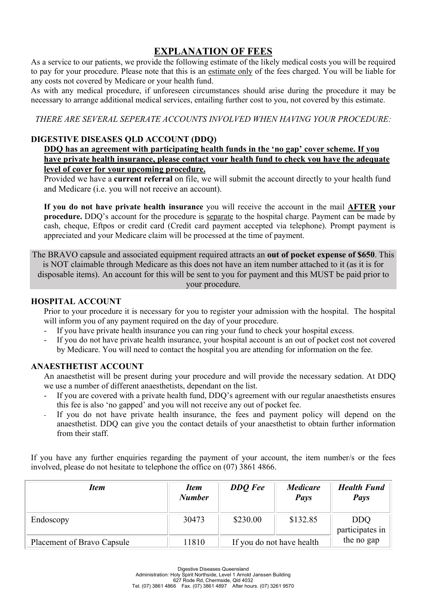## **EXPLANATION OF FEES**

As a service to our patients, we provide the following estimate of the likely medical costs you will be required to pay for your procedure. Please note that this is an estimate only of the fees charged. You will be liable for any costs not covered by Medicare or your health fund.

As with any medical procedure, if unforeseen circumstances should arise during the procedure it may be necessary to arrange additional medical services, entailing further cost to you, not covered by this estimate.

*THERE ARE SEVERAL SEPERATE ACCOUNTS INVOLVED WHEN HAVING YOUR PROCEDURE:*

## **DIGESTIVE DISEASES QLD ACCOUNT (DDQ)**

#### **DDQ has an agreement with participating health funds in the 'no gap' cover scheme. If you have private health insurance, please contact your health fund to check you have the adequate level of cover for your upcoming procedure.**

Provided we have a **current referral** on file, we will submit the account directly to your health fund and Medicare (i.e. you will not receive an account).

**If you do not have private health insurance** you will receive the account in the mail **AFTER your procedure.** DDQ's account for the procedure is separate to the hospital charge. Payment can be made by cash, cheque, Eftpos or credit card (Credit card payment accepted via telephone). Prompt payment is appreciated and your Medicare claim will be processed at the time of payment.

The BRAVO capsule and associated equipment required attracts an **out of pocket expense of \$650**. This is NOT claimable through Medicare as this does not have an item number attached to it (as it is for disposable items). An account for this will be sent to you for payment and this MUST be paid prior to your procedure.

#### **HOSPITAL ACCOUNT**

Prior to your procedure it is necessary for you to register your admission with the hospital. The hospital will inform you of any payment required on the day of your procedure.

- If you have private health insurance you can ring your fund to check your hospital excess.
- If you do not have private health insurance, your hospital account is an out of pocket cost not covered by Medicare. You will need to contact the hospital you are attending for information on the fee.

#### **ANAESTHETIST ACCOUNT**

An anaesthetist will be present during your procedure and will provide the necessary sedation. At DDQ we use a number of different anaesthetists, dependant on the list.

- If you are covered with a private health fund, DDQ's agreement with our regular anaesthetists ensures this fee is also 'no gapped' and you will not receive any out of pocket fee.
- If you do not have private health insurance, the fees and payment policy will depend on the anaesthetist. DDQ can give you the contact details of your anaesthetist to obtain further information from their staff.

If you have any further enquiries regarding the payment of your account, the item number/s or the fees involved, please do not hesitate to telephone the office on (07) 3861 4866.

| <b>Item</b>                       | <i>Item</i><br><b>Number</b> | <b>DDQ</b> Fee            | <i>Medicare</i><br><b>Pays</b> | <b>Health Fund</b><br><b>Pays</b> |
|-----------------------------------|------------------------------|---------------------------|--------------------------------|-----------------------------------|
| Endoscopy                         | 30473                        | \$230.00                  | \$132.85                       | <b>DDQ</b><br>participates in     |
| <b>Placement of Bravo Capsule</b> | 11810                        | If you do not have health |                                | the no gap                        |